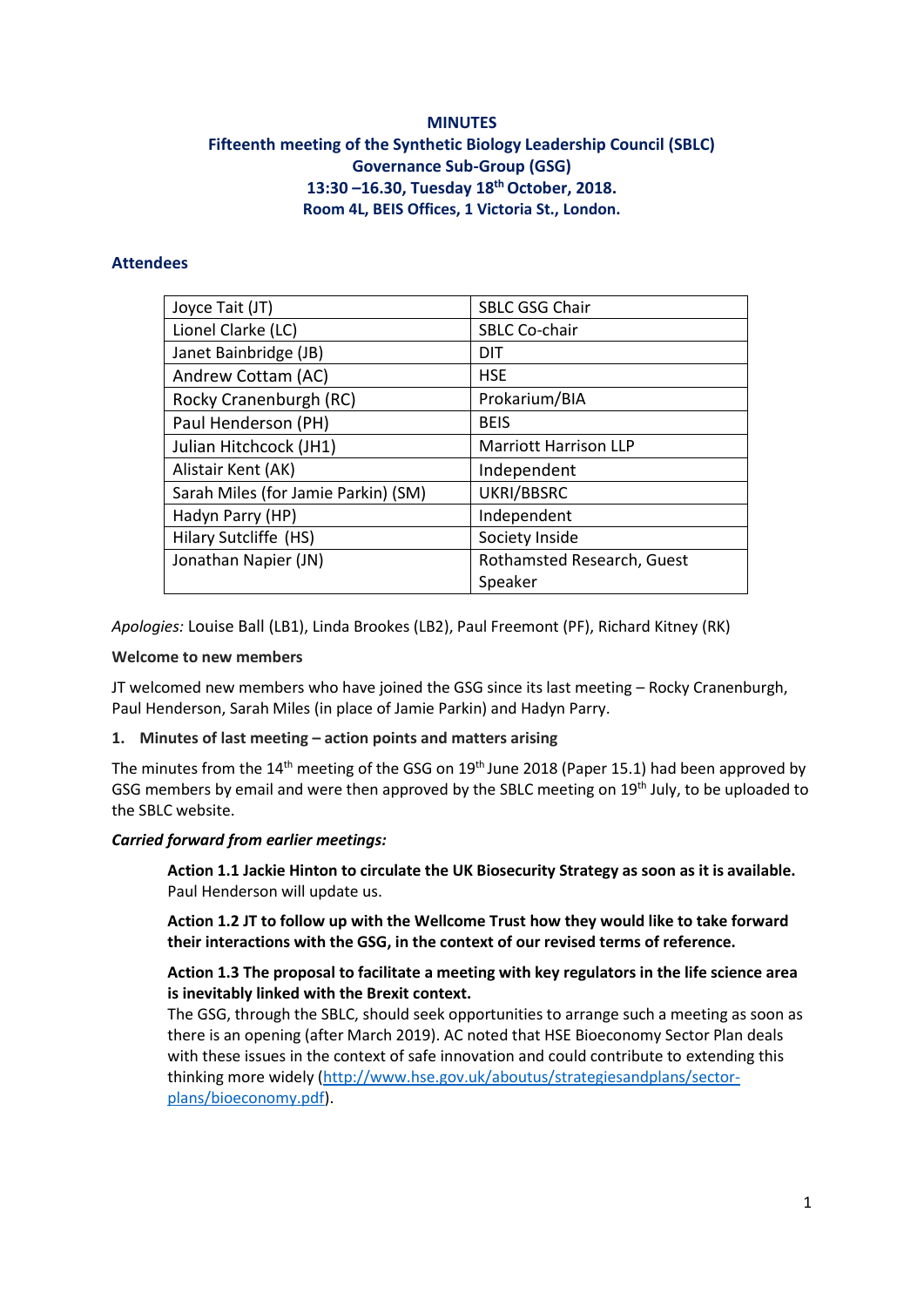# **MINUTES Fifteenth meeting of the Synthetic Biology Leadership Council (SBLC) Governance Sub-Group (GSG) 13:30 –16.30, Tuesday 18 thOctober, 2018. Room 4L, BEIS Offices, 1 Victoria St., London.**

# **Attendees**

| Joyce Tait (JT)                     | <b>SBLC GSG Chair</b>        |
|-------------------------------------|------------------------------|
| Lionel Clarke (LC)                  | <b>SBLC Co-chair</b>         |
| Janet Bainbridge (JB)               | <b>DIT</b>                   |
| Andrew Cottam (AC)                  | <b>HSE</b>                   |
| Rocky Cranenburgh (RC)              | Prokarium/BIA                |
| Paul Henderson (PH)                 | <b>BEIS</b>                  |
| Julian Hitchcock (JH1)              | <b>Marriott Harrison LLP</b> |
| Alistair Kent (AK)                  | Independent                  |
| Sarah Miles (for Jamie Parkin) (SM) | UKRI/BBSRC                   |
| Hadyn Parry (HP)                    | Independent                  |
| Hilary Sutcliffe (HS)               | Society Inside               |
| Jonathan Napier (JN)                | Rothamsted Research, Guest   |
|                                     | Speaker                      |

*Apologies:* Louise Ball (LB1), Linda Brookes (LB2), Paul Freemont (PF), Richard Kitney (RK)

#### **Welcome to new members**

JT welcomed new members who have joined the GSG since its last meeting – Rocky Cranenburgh, Paul Henderson, Sarah Miles (in place of Jamie Parkin) and Hadyn Parry.

# **1. Minutes of last meeting – action points and matters arising**

The minutes from the 14<sup>th</sup> meeting of the GSG on 19<sup>th</sup> June 2018 (Paper 15.1) had been approved by GSG members by email and were then approved by the SBLC meeting on 19<sup>th</sup> July, to be uploaded to the SBLC website.

#### *Carried forward from earlier meetings:*

**Action 1.1 Jackie Hinton to circulate the UK Biosecurity Strategy as soon as it is available.**  Paul Henderson will update us.

**Action 1.2 JT to follow up with the Wellcome Trust how they would like to take forward their interactions with the GSG, in the context of our revised terms of reference.** 

#### **Action 1.3 The proposal to facilitate a meeting with key regulators in the life science area is inevitably linked with the Brexit context.**

The GSG, through the SBLC, should seek opportunities to arrange such a meeting as soon as there is an opening (after March 2019). AC noted that HSE Bioeconomy Sector Plan deals with these issues in the context of safe innovation and could contribute to extending this thinking more widely [\(http://www.hse.gov.uk/aboutus/strategiesandplans/sector](http://www.hse.gov.uk/aboutus/strategiesandplans/sector-plans/bioeconomy.pdf)[plans/bioeconomy.pdf\)](http://www.hse.gov.uk/aboutus/strategiesandplans/sector-plans/bioeconomy.pdf).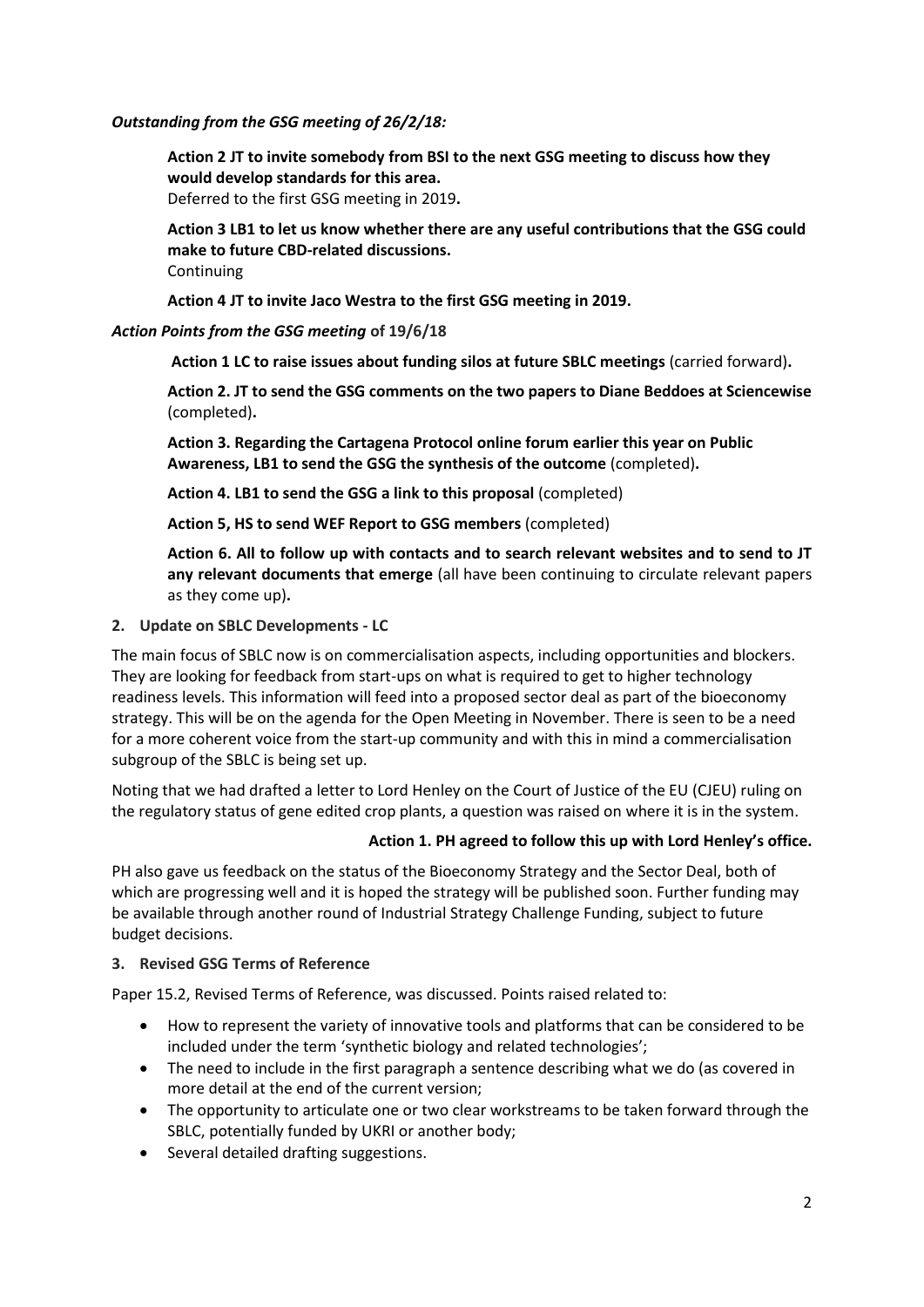# *Outstanding from the GSG meeting of 26/2/18:*

**Action 2 JT to invite somebody from BSI to the next GSG meeting to discuss how they would develop standards for this area.** Deferred to the first GSG meeting in 2019**.**

**Action 3 LB1 to let us know whether there are any useful contributions that the GSG could make to future CBD-related discussions.** Continuing

**Action 4 JT to invite Jaco Westra to the first GSG meeting in 2019.**

### *Action Points from the GSG meeting* **of 19/6/18**

**Action 1 LC to raise issues about funding silos at future SBLC meetings** (carried forward)**.**

**Action 2. JT to send the GSG comments on the two papers to Diane Beddoes at Sciencewise** (completed)**.**

**Action 3. Regarding the Cartagena Protocol online forum earlier this year on Public Awareness, LB1 to send the GSG the synthesis of the outcome** (completed)**.**

**Action 4. LB1 to send the GSG a link to this proposal** (completed)

**Action 5, HS to send WEF Report to GSG members** (completed)

**Action 6. All to follow up with contacts and to search relevant websites and to send to JT any relevant documents that emerge** (all have been continuing to circulate relevant papers as they come up)**.**

**2. Update on SBLC Developments - LC**

The main focus of SBLC now is on commercialisation aspects, including opportunities and blockers. They are looking for feedback from start-ups on what is required to get to higher technology readiness levels. This information will feed into a proposed sector deal as part of the bioeconomy strategy. This will be on the agenda for the Open Meeting in November. There is seen to be a need for a more coherent voice from the start-up community and with this in mind a commercialisation subgroup of the SBLC is being set up.

Noting that we had drafted a letter to Lord Henley on the Court of Justice of the EU (CJEU) ruling on the regulatory status of gene edited crop plants, a question was raised on where it is in the system.

# **Action 1. PH agreed to follow this up with Lord Henley's office.**

PH also gave us feedback on the status of the Bioeconomy Strategy and the Sector Deal, both of which are progressing well and it is hoped the strategy will be published soon. Further funding may be available through another round of Industrial Strategy Challenge Funding, subject to future budget decisions.

# **3. Revised GSG Terms of Reference**

Paper 15.2, Revised Terms of Reference, was discussed. Points raised related to:

- How to represent the variety of innovative tools and platforms that can be considered to be included under the term 'synthetic biology and related technologies';
- The need to include in the first paragraph a sentence describing what we do (as covered in more detail at the end of the current version;
- The opportunity to articulate one or two clear workstreams to be taken forward through the SBLC, potentially funded by UKRI or another body;
- Several detailed drafting suggestions.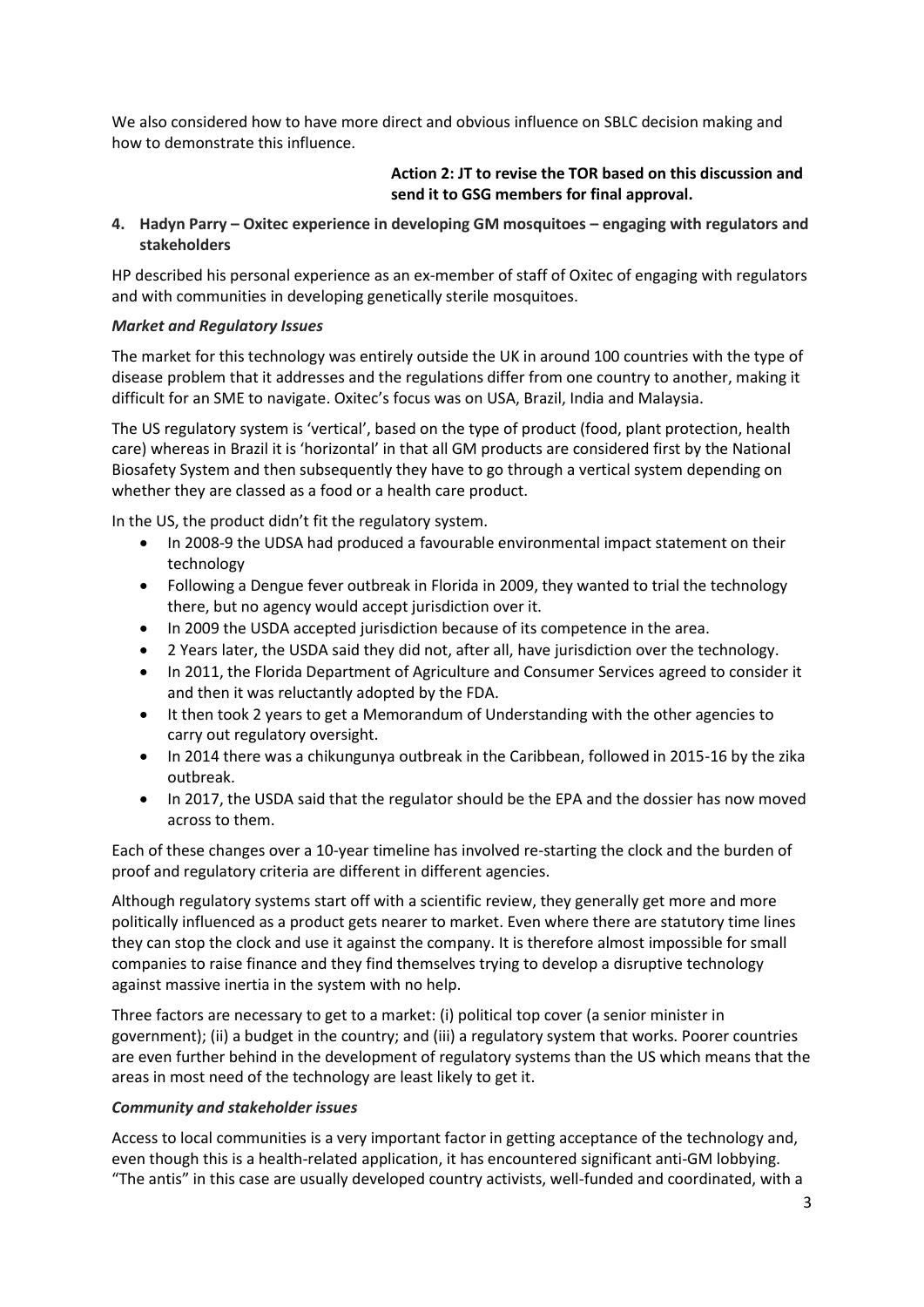We also considered how to have more direct and obvious influence on SBLC decision making and how to demonstrate this influence.

# **Action 2: JT to revise the TOR based on this discussion and send it to GSG members for final approval.**

**4. Hadyn Parry – Oxitec experience in developing GM mosquitoes – engaging with regulators and stakeholders**

HP described his personal experience as an ex-member of staff of Oxitec of engaging with regulators and with communities in developing genetically sterile mosquitoes.

#### *Market and Regulatory Issues*

The market for this technology was entirely outside the UK in around 100 countries with the type of disease problem that it addresses and the regulations differ from one country to another, making it difficult for an SME to navigate. Oxitec's focus was on USA, Brazil, India and Malaysia.

The US regulatory system is 'vertical', based on the type of product (food, plant protection, health care) whereas in Brazil it is 'horizontal' in that all GM products are considered first by the National Biosafety System and then subsequently they have to go through a vertical system depending on whether they are classed as a food or a health care product.

In the US, the product didn't fit the regulatory system.

- In 2008-9 the UDSA had produced a favourable environmental impact statement on their technology
- Following a Dengue fever outbreak in Florida in 2009, they wanted to trial the technology there, but no agency would accept jurisdiction over it.
- In 2009 the USDA accepted jurisdiction because of its competence in the area.
- 2 Years later, the USDA said they did not, after all, have jurisdiction over the technology.
- In 2011, the Florida Department of Agriculture and Consumer Services agreed to consider it and then it was reluctantly adopted by the FDA.
- It then took 2 years to get a Memorandum of Understanding with the other agencies to carry out regulatory oversight.
- In 2014 there was a chikungunya outbreak in the Caribbean, followed in 2015-16 by the zika outbreak.
- In 2017, the USDA said that the regulator should be the EPA and the dossier has now moved across to them.

Each of these changes over a 10-year timeline has involved re-starting the clock and the burden of proof and regulatory criteria are different in different agencies.

Although regulatory systems start off with a scientific review, they generally get more and more politically influenced as a product gets nearer to market. Even where there are statutory time lines they can stop the clock and use it against the company. It is therefore almost impossible for small companies to raise finance and they find themselves trying to develop a disruptive technology against massive inertia in the system with no help.

Three factors are necessary to get to a market: (i) political top cover (a senior minister in government); (ii) a budget in the country; and (iii) a regulatory system that works. Poorer countries are even further behind in the development of regulatory systems than the US which means that the areas in most need of the technology are least likely to get it.

#### *Community and stakeholder issues*

Access to local communities is a very important factor in getting acceptance of the technology and, even though this is a health-related application, it has encountered significant anti-GM lobbying. "The antis" in this case are usually developed country activists, well-funded and coordinated, with a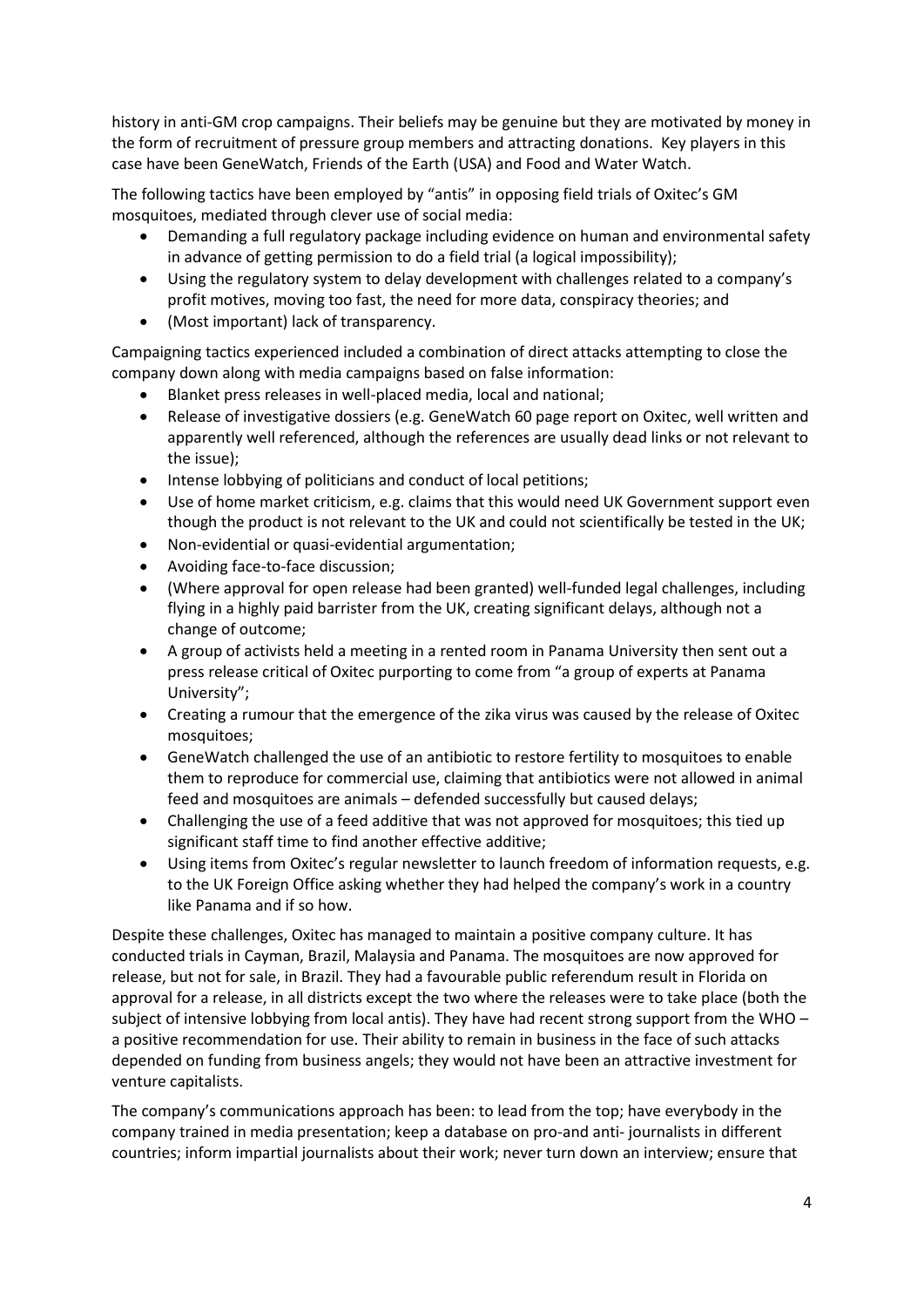history in anti-GM crop campaigns. Their beliefs may be genuine but they are motivated by money in the form of recruitment of pressure group members and attracting donations. Key players in this case have been GeneWatch, Friends of the Earth (USA) and Food and Water Watch.

The following tactics have been employed by "antis" in opposing field trials of Oxitec's GM mosquitoes, mediated through clever use of social media:

- Demanding a full regulatory package including evidence on human and environmental safety in advance of getting permission to do a field trial (a logical impossibility);
- Using the regulatory system to delay development with challenges related to a company's profit motives, moving too fast, the need for more data, conspiracy theories; and
- (Most important) lack of transparency.

Campaigning tactics experienced included a combination of direct attacks attempting to close the company down along with media campaigns based on false information:

- Blanket press releases in well-placed media, local and national;
- Release of investigative dossiers (e.g. GeneWatch 60 page report on Oxitec, well written and apparently well referenced, although the references are usually dead links or not relevant to the issue);
- Intense lobbying of politicians and conduct of local petitions;
- Use of home market criticism, e.g. claims that this would need UK Government support even though the product is not relevant to the UK and could not scientifically be tested in the UK;
- Non-evidential or quasi-evidential argumentation;
- Avoiding face-to-face discussion;
- (Where approval for open release had been granted) well-funded legal challenges, including flying in a highly paid barrister from the UK, creating significant delays, although not a change of outcome;
- A group of activists held a meeting in a rented room in Panama University then sent out a press release critical of Oxitec purporting to come from "a group of experts at Panama University";
- Creating a rumour that the emergence of the zika virus was caused by the release of Oxitec mosquitoes;
- GeneWatch challenged the use of an antibiotic to restore fertility to mosquitoes to enable them to reproduce for commercial use, claiming that antibiotics were not allowed in animal feed and mosquitoes are animals – defended successfully but caused delays;
- Challenging the use of a feed additive that was not approved for mosquitoes; this tied up significant staff time to find another effective additive;
- Using items from Oxitec's regular newsletter to launch freedom of information requests, e.g. to the UK Foreign Office asking whether they had helped the company's work in a country like Panama and if so how.

Despite these challenges, Oxitec has managed to maintain a positive company culture. It has conducted trials in Cayman, Brazil, Malaysia and Panama. The mosquitoes are now approved for release, but not for sale, in Brazil. They had a favourable public referendum result in Florida on approval for a release, in all districts except the two where the releases were to take place (both the subject of intensive lobbying from local antis). They have had recent strong support from the WHO – a positive recommendation for use. Their ability to remain in business in the face of such attacks depended on funding from business angels; they would not have been an attractive investment for venture capitalists.

The company's communications approach has been: to lead from the top; have everybody in the company trained in media presentation; keep a database on pro-and anti- journalists in different countries; inform impartial journalists about their work; never turn down an interview; ensure that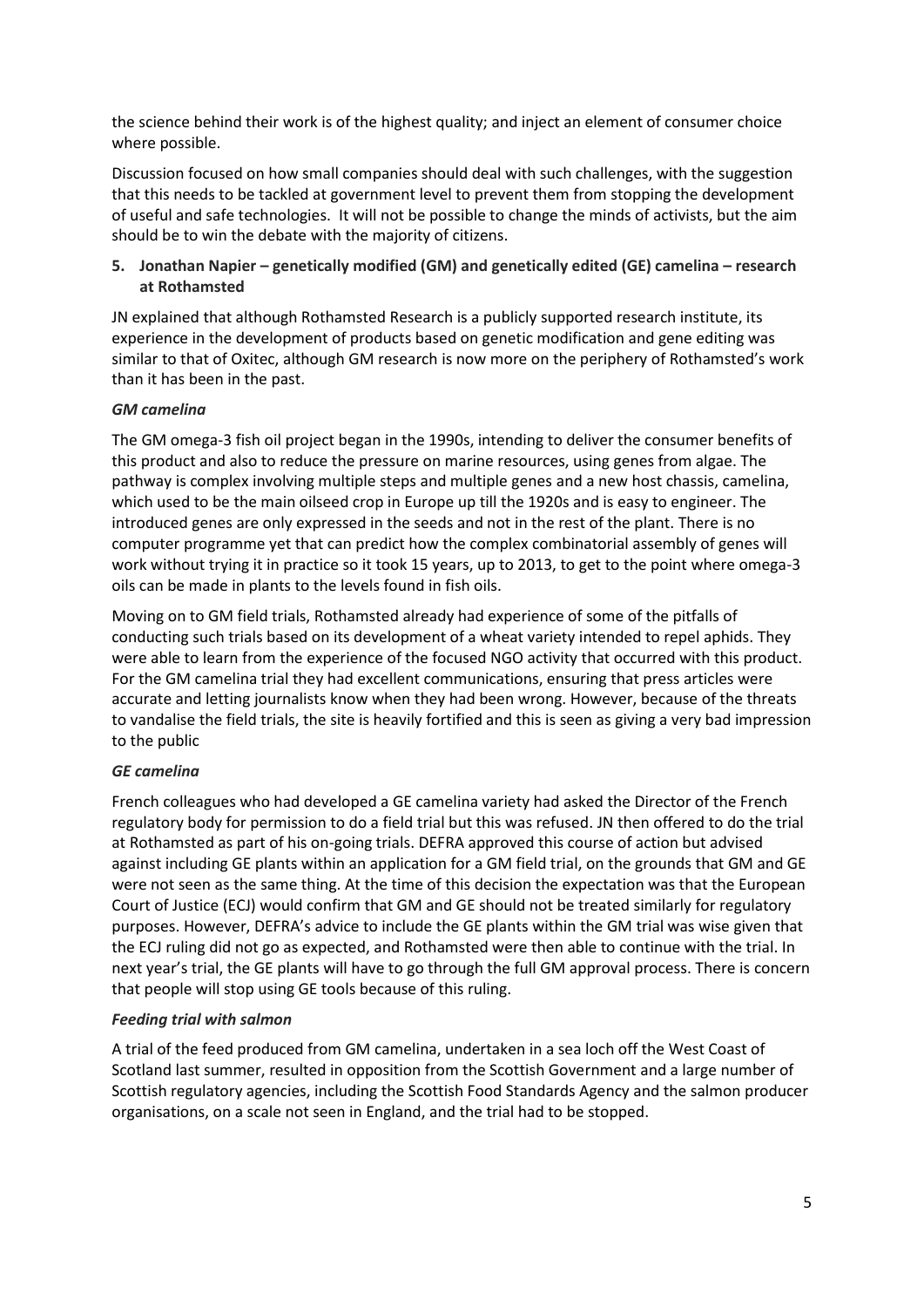the science behind their work is of the highest quality; and inject an element of consumer choice where possible.

Discussion focused on how small companies should deal with such challenges, with the suggestion that this needs to be tackled at government level to prevent them from stopping the development of useful and safe technologies. It will not be possible to change the minds of activists, but the aim should be to win the debate with the majority of citizens.

# **5. Jonathan Napier – genetically modified (GM) and genetically edited (GE) camelina – research at Rothamsted**

JN explained that although Rothamsted Research is a publicly supported research institute, its experience in the development of products based on genetic modification and gene editing was similar to that of Oxitec, although GM research is now more on the periphery of Rothamsted's work than it has been in the past.

# *GM camelina*

The GM omega-3 fish oil project began in the 1990s, intending to deliver the consumer benefits of this product and also to reduce the pressure on marine resources, using genes from algae. The pathway is complex involving multiple steps and multiple genes and a new host chassis, camelina, which used to be the main oilseed crop in Europe up till the 1920s and is easy to engineer. The introduced genes are only expressed in the seeds and not in the rest of the plant. There is no computer programme yet that can predict how the complex combinatorial assembly of genes will work without trying it in practice so it took 15 years, up to 2013, to get to the point where omega-3 oils can be made in plants to the levels found in fish oils.

Moving on to GM field trials, Rothamsted already had experience of some of the pitfalls of conducting such trials based on its development of a wheat variety intended to repel aphids. They were able to learn from the experience of the focused NGO activity that occurred with this product. For the GM camelina trial they had excellent communications, ensuring that press articles were accurate and letting journalists know when they had been wrong. However, because of the threats to vandalise the field trials, the site is heavily fortified and this is seen as giving a very bad impression to the public

# *GE camelina*

French colleagues who had developed a GE camelina variety had asked the Director of the French regulatory body for permission to do a field trial but this was refused. JN then offered to do the trial at Rothamsted as part of his on-going trials. DEFRA approved this course of action but advised against including GE plants within an application for a GM field trial, on the grounds that GM and GE were not seen as the same thing. At the time of this decision the expectation was that the European Court of Justice (ECJ) would confirm that GM and GE should not be treated similarly for regulatory purposes. However, DEFRA's advice to include the GE plants within the GM trial was wise given that the ECJ ruling did not go as expected, and Rothamsted were then able to continue with the trial. In next year's trial, the GE plants will have to go through the full GM approval process. There is concern that people will stop using GE tools because of this ruling.

# *Feeding trial with salmon*

A trial of the feed produced from GM camelina, undertaken in a sea loch off the West Coast of Scotland last summer, resulted in opposition from the Scottish Government and a large number of Scottish regulatory agencies, including the Scottish Food Standards Agency and the salmon producer organisations, on a scale not seen in England, and the trial had to be stopped.